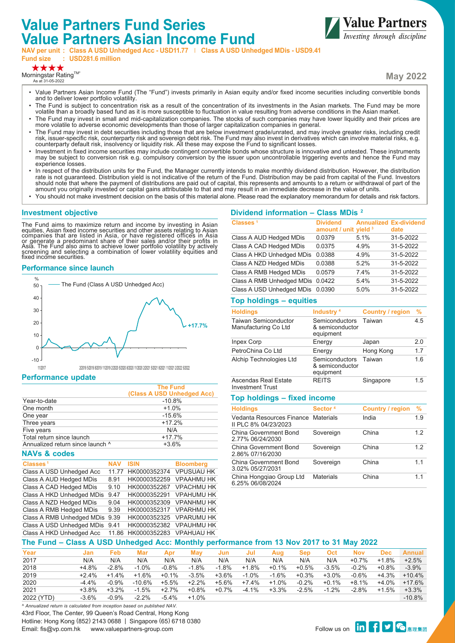# **Value Partners Fund Series Value Partners Asian Income Fund**



**Fund size : USD281.6 million**

\*\*\*\*

Morningstar Rating™ As at 31-05-2022

**May 2022**

**Value Partners** 

- Value Partners Asian Income Fund (The "Fund") invests primarily in Asian equity and/or fixed income securities including convertible bonds and to deliver lower portfolio volatility.
- The Fund is subject to concentration risk as a result of the concentration of its investments in the Asian markets. The Fund may be more volatile than a broadly based fund as it is more susceptible to fluctuation in value resulting from adverse conditions in the Asian market.
- The Fund may invest in small and mid-capitalization companies. The stocks of such companies may have lower liquidity and their prices are more volatile to adverse economic developments than those of larger capitalization companies in general.
- The Fund may invest in debt securities including those that are below investment grade/unrated, and may involve greater risks, including credit risk, issuer-specific risk, counterparty risk and sovereign debt risk. The Fund may also invest in derivatives which can involve material risks, e.g. counterparty default risk, insolvency or liquidity risk. All these may expose the Fund to significant losses.
- Investment in fixed income securities may include contingent convertible bonds whose structure is innovative and untested. These instruments may be subject to conversion risk e.g. compulsory conversion by the issuer upon uncontrollable triggering events and hence the Fund may experience losses.
- In respect of the distribution units for the Fund, the Manager currently intends to make monthly dividend distribution. However, the distribution rate is not guaranteed. Distribution yield is not indicative of the return of the Fund. Distribution may be paid from capital of the Fund. Investors should note that where the payment of distributions are paid out of capital, this represents and amounts to a return or withdrawal of part of the amount you originally invested or capital gains attributable to that and may result in an immediate decrease in the value of units.
- You should not make investment decision on the basis of this material alone. Please read the explanatory memorandum for details and risk factors.

## **Investment objective**

The Fund aims to maximize return and income by investing in Asian<br>equities, Asian fixed income securities and other assets relating to Asian<br>companies that are listed in Asia, or have registered offices in Asia<br>or generate fixed income securities.

## **Performance since launch**



#### **Performance update**

|                                  | <b>The Fund</b><br>(Class A USD Unhedged Acc) |
|----------------------------------|-----------------------------------------------|
| Year-to-date                     | $-10.8%$                                      |
| One month                        | $+1.0%$                                       |
| One year                         | $-15.6%$                                      |
| Three years                      | $+17.2%$                                      |
| Five years                       | N/A                                           |
| Total return since launch        | $+17.7%$                                      |
| Annualized return since launch ^ | $+3.6%$                                       |
|                                  |                                               |

#### **NAVs & codes**

| Classes <sup>1</sup>      | <b>NAV</b> | ISIN         | <b>Bloomberg</b>  |
|---------------------------|------------|--------------|-------------------|
| Class A USD Unhedged Acc  | 11 77      | HK0000352374 | <b>VPUSUAU HK</b> |
| Class A AUD Hedged MDis   | 8.91       | HK0000352259 | <b>VPAAHMU HK</b> |
| Class A CAD Hedged MDis   | 9.10       | HK0000352267 | <b>VPACHMU HK</b> |
| Class A HKD Unhedged MDis | 9.47       | HK0000352291 | <b>VPAHUMU HK</b> |
| Class A NZD Hedged MDis   | 9.04       | HK0000352309 | <b>VPANHMU HK</b> |
| Class A RMB Hedged MDis   | 9.39       | HK0000352317 | <b>VPARHMU HK</b> |
| Class A RMB Unhedged MDis | 9.39       | HK0000352325 | <b>VPARUMU HK</b> |
| Class A USD Unhedged MDis | 9.41       | HK0000352382 | <b>VPAUHMU HK</b> |
| Class A HKD Unhedged Acc  | 11.86      | HK0000352283 | <b>VPAHUAU HK</b> |
|                           |            |              |                   |

#### **Dividend information – Class MDis 2**

| Classes <sup>1</sup>      | <b>Dividend</b><br>amount / unit yield 3 |      | <b>Annualized Ex-dividend</b><br>date |
|---------------------------|------------------------------------------|------|---------------------------------------|
| Class A AUD Hedged MDis   | 0.0379                                   | 5.1% | 31-5-2022                             |
| Class A CAD Hedged MDis   | 0.0375                                   | 4.9% | 31-5-2022                             |
| Class A HKD Unhedged MDis | 0.0388                                   | 4.9% | 31-5-2022                             |
| Class A NZD Hedged MDis   | 0.0388                                   | 52%  | 31-5-2022                             |
| Class A RMB Hedged MDis   | 0.0579                                   | 74%  | 31-5-2022                             |
| Class A RMB Unhedged MDis | 0.0422                                   | 5.4% | 31-5-2022                             |
| Class A USD Unhedged MDis | 0.0390                                   | 5.0% | 31-5-2022                             |

## **Top holdings – equities**

| <b>Holdings</b>                                     | Industry <sup>4</sup>                          | Country / region | %   |
|-----------------------------------------------------|------------------------------------------------|------------------|-----|
| <b>Taiwan Semiconductor</b><br>Manufacturing Co Ltd | Semiconductors<br>& semiconductor<br>equipment | Taiwan           | 4.5 |
| Inpex Corp                                          | Energy                                         | Japan            | 2.0 |
| PetroChina Co Ltd                                   | Energy                                         | Hong Kong        | 1.7 |
| Alchip Technologies Ltd                             | Semiconductors<br>& semiconductor<br>equipment | Taiwan           | 1.6 |
| Ascendas Real Estate                                | <b>REITS</b>                                   | Singapore        | 1.5 |

## **Top holdings – fixed income**

Investment Trust

| <b>Holdings</b>                                             | Sector <sup>4</sup> | <b>Country / region</b> | $\frac{9}{6}$ |
|-------------------------------------------------------------|---------------------|-------------------------|---------------|
| Vedanta Resources Finance Materials<br>II PLC 8% 04/23/2023 |                     | India                   | 1.9           |
| China Government Bond<br>2.77% 06/24/2030                   | Sovereign           | China                   | 12            |
| China Government Bond<br>2.86% 07/16/2030                   | Sovereign           | China                   | 12            |
| China Government Bond<br>3.02% 05/27/2031                   | Sovereign           | China                   | 11            |
| China Hongqiao Group Ltd<br>6.25% 06/08/2024                | <b>Materials</b>    | China                   | 11            |

## **The Fund – Class A USD Unhedged Acc: Monthly performance from 13 Nov 2017 to 31 May 2022**

| Year       | Jan      | Feb     | Mar       | Apr     | May     | Jun      | Jul     | Aua     | Sep     | Oct     | <b>Nov</b> | <b>Dec</b> | <b>Annual</b> |
|------------|----------|---------|-----------|---------|---------|----------|---------|---------|---------|---------|------------|------------|---------------|
| 2017       | N/A      | N/A     | N/A       | N/A     | N/A     | N/A      | N/A     | N/A     | N/A     | N/A     | $+0.7\%$   | $+1.8%$    | $+2.5%$       |
| 2018       | $+4.8%$  | $-2.8%$ | $-1.0%$   | $-0.8%$ | $-1.8%$ | $-1.8%$  | $+1.8%$ | $+0.1%$ | $+0.5%$ | $-3.5%$ | $-0.2%$    | $+0.8%$    | $-3.9%$       |
| 2019       | $+24%$   | $+1.4%$ | $+1.6%$   | $+0.1%$ | $-3.5%$ | $+3.6%$  | $-1.0%$ | $-1.6%$ | $+0.3%$ | $+3.0%$ | $-0.6%$    | $+4.3%$    | $+10.4%$      |
| 2020       | $-4.4\%$ | $-0.9%$ | $-10.6\%$ | $+5.5%$ | $+2.2%$ | $+5.6\%$ | $+7.4%$ | $+1.0%$ | $-0.2%$ | $+0.1%$ | $+8.1%$    | $+4.0\%$   | $+17.6%$      |
| 2021       | $+3.8%$  | $+3.2%$ | $-1.5%$   | $+2.7%$ | $+0.8%$ | $+0.7%$  | $-4.1%$ | $+3.3%$ | $-2.5%$ | $-1.2%$ | $-2.8%$    | $+1.5%$    | $+3.3%$       |
| 2022 (YTD) | $-3.6%$  | $-0.9%$ | $-2.2%$   | $-5.4%$ | $+1.0%$ |          |         |         |         |         |            |            | $-10.8%$      |

43rd Floor, The Center, 99 Queen's Road Central, Hong Kong Hotline: Hong Kong (852) 2143 0688 | Singapore (65) 6718 0380 Thomine. Thong roung tooz/ 2145 0000 | Singapore too/ 07 10 0500<br>Email: fis@vp.com.hk www.valuepartners-group.com Follow us on <mark>in </mark> *^ Annualized return is calculated from inception based on published NAV.*